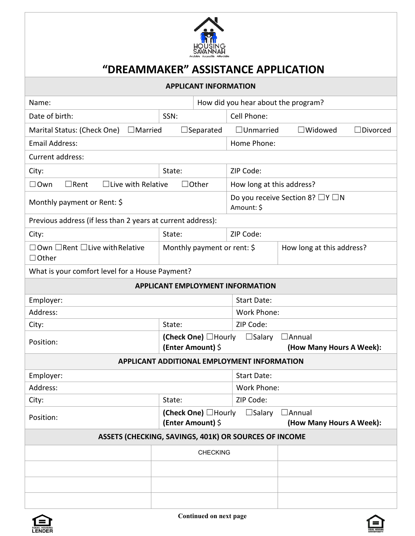

## **"DREAMMAKER" ASSISTANCE APPLICATION**

| <b>APPLICANT INFORMATION</b>                                     |                                           |  |                                                            |                                           |                 |  |
|------------------------------------------------------------------|-------------------------------------------|--|------------------------------------------------------------|-------------------------------------------|-----------------|--|
| Name:                                                            |                                           |  | How did you hear about the program?                        |                                           |                 |  |
| Date of birth:                                                   | SSN:                                      |  | Cell Phone:                                                |                                           |                 |  |
| Marital Status: (Check One)<br>$\Box$ Married                    | $\Box$ Separated                          |  | $\Box$ Unmarried                                           | $\square$ Widowed                         | $\Box$ Divorced |  |
| <b>Email Address:</b>                                            |                                           |  | Home Phone:                                                |                                           |                 |  |
| Current address:                                                 |                                           |  |                                                            |                                           |                 |  |
| City:                                                            | State:                                    |  | ZIP Code:                                                  |                                           |                 |  |
| $\Box$ Own<br>$\Box$ Rent                                        | $\Box$ Live with Relative<br>$\Box$ Other |  | How long at this address?                                  |                                           |                 |  |
| Monthly payment or Rent: \$                                      |                                           |  | Do you receive Section 8? $\Box Y \Box N$<br>Amount: \$    |                                           |                 |  |
| Previous address (if less than 2 years at current address):      |                                           |  |                                                            |                                           |                 |  |
| City:                                                            | State:                                    |  | ZIP Code:                                                  |                                           |                 |  |
| $\Box$ Own $\Box$ Rent $\Box$ Live with Relative<br>$\Box$ Other | Monthly payment or rent: \$               |  |                                                            | How long at this address?                 |                 |  |
| What is your comfort level for a House Payment?                  |                                           |  |                                                            |                                           |                 |  |
| <b>APPLICANT EMPLOYMENT INFORMATION</b>                          |                                           |  |                                                            |                                           |                 |  |
| Employer:                                                        |                                           |  | <b>Start Date:</b>                                         |                                           |                 |  |
| Address:                                                         |                                           |  | Work Phone:                                                |                                           |                 |  |
| City:                                                            | State:                                    |  | ZIP Code:                                                  |                                           |                 |  |
| (Check One) □Hourly<br>Position:<br>(Enter Amount) \$            |                                           |  | $\Box$ Salary<br>$\Box$ Annual<br>(How Many Hours A Week): |                                           |                 |  |
| APPLICANT ADDITIONAL EMPLOYMENT INFORMATION                      |                                           |  |                                                            |                                           |                 |  |
| Employer:                                                        |                                           |  | <b>Start Date:</b>                                         |                                           |                 |  |
| Address:                                                         |                                           |  | Work Phone:                                                |                                           |                 |  |
| City:                                                            | State:                                    |  | ZIP Code:                                                  |                                           |                 |  |
| Position:                                                        | (Check One) □Hourly<br>(Enter Amount) \$  |  | $\square$ Salary                                           | $\Box$ Annual<br>(How Many Hours A Week): |                 |  |
| ASSETS (CHECKING, SAVINGS, 401K) OR SOURCES OF INCOME            |                                           |  |                                                            |                                           |                 |  |
|                                                                  | <b>CHECKING</b>                           |  |                                                            |                                           |                 |  |
|                                                                  |                                           |  |                                                            |                                           |                 |  |
|                                                                  |                                           |  |                                                            |                                           |                 |  |
|                                                                  |                                           |  |                                                            |                                           |                 |  |
|                                                                  |                                           |  |                                                            |                                           |                 |  |



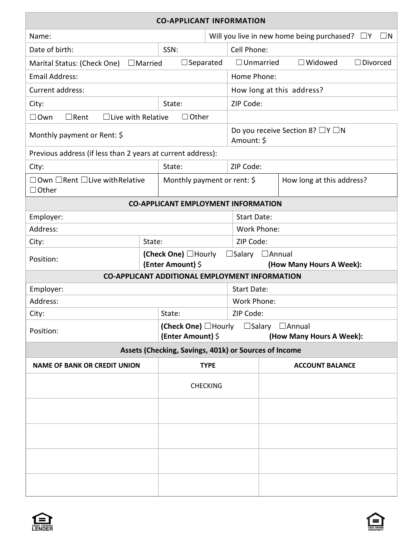| <b>CO-APPLICANT INFORMATION</b>                                        |                |                                                                 |                                                         |                                                       |                           |  |  |
|------------------------------------------------------------------------|----------------|-----------------------------------------------------------------|---------------------------------------------------------|-------------------------------------------------------|---------------------------|--|--|
| Name:                                                                  |                | Will you live in new home being purchased? $\Box Y$<br>$\Box N$ |                                                         |                                                       |                           |  |  |
| Date of birth:                                                         |                | SSN:                                                            |                                                         | Cell Phone:                                           |                           |  |  |
| Marital Status: (Check One)                                            | $\Box$ Married | $\Box$ Separated                                                |                                                         | $\Box$ Unmarried<br>$\Box$ Widowed<br>$\Box$ Divorced |                           |  |  |
| <b>Email Address:</b>                                                  |                |                                                                 |                                                         | Home Phone:                                           |                           |  |  |
| Current address:                                                       |                |                                                                 | How long at this address?                               |                                                       |                           |  |  |
| City:<br>State:                                                        |                |                                                                 | ZIP Code:                                               |                                                       |                           |  |  |
| $\Box$ Other<br>$\Box$ Own<br>$\Box$ Live with Relative<br>$\Box$ Rent |                |                                                                 |                                                         |                                                       |                           |  |  |
| Monthly payment or Rent: \$                                            |                |                                                                 | Do you receive Section 8? $\Box Y \Box N$<br>Amount: \$ |                                                       |                           |  |  |
| Previous address (if less than 2 years at current address):            |                |                                                                 |                                                         |                                                       |                           |  |  |
| City:                                                                  |                | State:                                                          |                                                         | ZIP Code:                                             |                           |  |  |
| $\Box$ Own $\Box$ Rent $\Box$ Live with Relative<br>$\Box$ Other       |                |                                                                 | Monthly payment or rent: \$                             |                                                       | How long at this address? |  |  |
|                                                                        |                |                                                                 |                                                         | <b>CO-APPLICANT EMPLOYMENT INFORMATION</b>            |                           |  |  |
| Employer:                                                              |                |                                                                 |                                                         | <b>Start Date:</b>                                    |                           |  |  |
| Address:                                                               |                |                                                                 |                                                         | Work Phone:                                           |                           |  |  |
| City:                                                                  | State:         |                                                                 |                                                         | ZIP Code:                                             |                           |  |  |
| Position:                                                              |                | (Check One) □Hourly<br>(Enter Amount) \$                        |                                                         | $\Box$ Salary<br>$\Box$ Annual                        | (How Many Hours A Week):  |  |  |
| <b>CO-APPLICANT ADDITIONAL EMPLOYMENT INFORMATION</b>                  |                |                                                                 |                                                         |                                                       |                           |  |  |
| Employer:                                                              |                |                                                                 | <b>Start Date:</b>                                      |                                                       |                           |  |  |
| Address:                                                               |                | Work Phone:                                                     |                                                         |                                                       |                           |  |  |
| City:<br>State:                                                        |                |                                                                 | ZIP Code:                                               |                                                       |                           |  |  |
| (Check One) □Hourly<br>Position:<br>(Enter Amount) \$                  |                |                                                                 | $\Box$ Salary $\Box$ Annual<br>(How Many Hours A Week): |                                                       |                           |  |  |
| Assets (Checking, Savings, 401k) or Sources of Income                  |                |                                                                 |                                                         |                                                       |                           |  |  |
| <b>NAME OF BANK OR CREDIT UNION</b>                                    |                | <b>TYPE</b>                                                     |                                                         |                                                       | <b>ACCOUNT BALANCE</b>    |  |  |
|                                                                        |                | <b>CHECKING</b>                                                 |                                                         |                                                       |                           |  |  |
|                                                                        |                |                                                                 |                                                         |                                                       |                           |  |  |
|                                                                        |                |                                                                 |                                                         |                                                       |                           |  |  |
|                                                                        |                |                                                                 |                                                         |                                                       |                           |  |  |
|                                                                        |                |                                                                 |                                                         |                                                       |                           |  |  |

| E | L HOUSING | I |
|---|-----------|---|

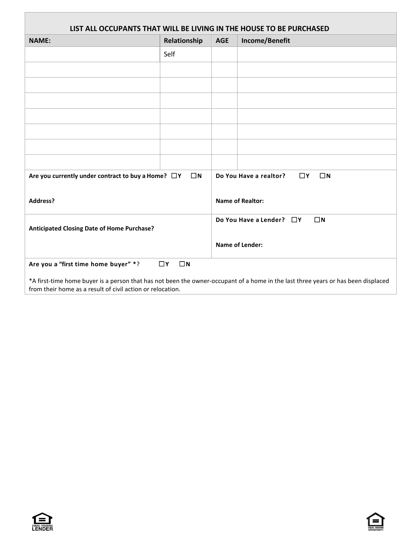| LIST ALL OCCUPANTS THAT WILL BE LIVING IN THE HOUSE TO BE PURCHASED                                                          |              |                        |                                                                                                                                   |  |  |
|------------------------------------------------------------------------------------------------------------------------------|--------------|------------------------|-----------------------------------------------------------------------------------------------------------------------------------|--|--|
| <b>NAME:</b>                                                                                                                 | Relationship | <b>AGE</b>             | Income/Benefit                                                                                                                    |  |  |
|                                                                                                                              | Self         |                        |                                                                                                                                   |  |  |
|                                                                                                                              |              |                        |                                                                                                                                   |  |  |
|                                                                                                                              |              |                        |                                                                                                                                   |  |  |
|                                                                                                                              |              |                        |                                                                                                                                   |  |  |
|                                                                                                                              |              |                        |                                                                                                                                   |  |  |
|                                                                                                                              |              |                        |                                                                                                                                   |  |  |
|                                                                                                                              |              |                        |                                                                                                                                   |  |  |
|                                                                                                                              |              |                        |                                                                                                                                   |  |  |
| $\square$ Y<br>$\Box N$<br>Are you currently under contract to buy a Home? $\Box Y$<br>$\square$ N<br>Do You Have a realtor? |              |                        |                                                                                                                                   |  |  |
| <b>Address?</b>                                                                                                              |              |                        | <b>Name of Realtor:</b>                                                                                                           |  |  |
| $\square$ N<br>Do You Have a Lender? $\Box Y$<br>Anticipated Closing Date of Home Purchase?                                  |              |                        |                                                                                                                                   |  |  |
|                                                                                                                              |              | <b>Name of Lender:</b> |                                                                                                                                   |  |  |
| Are you a "first time home buyer" *?<br>$\Box$ N<br>$\square$ Y                                                              |              |                        |                                                                                                                                   |  |  |
| from their home as a result of civil action or relocation.                                                                   |              |                        | *A first-time home buyer is a person that has not been the owner-occupant of a home in the last three years or has been displaced |  |  |